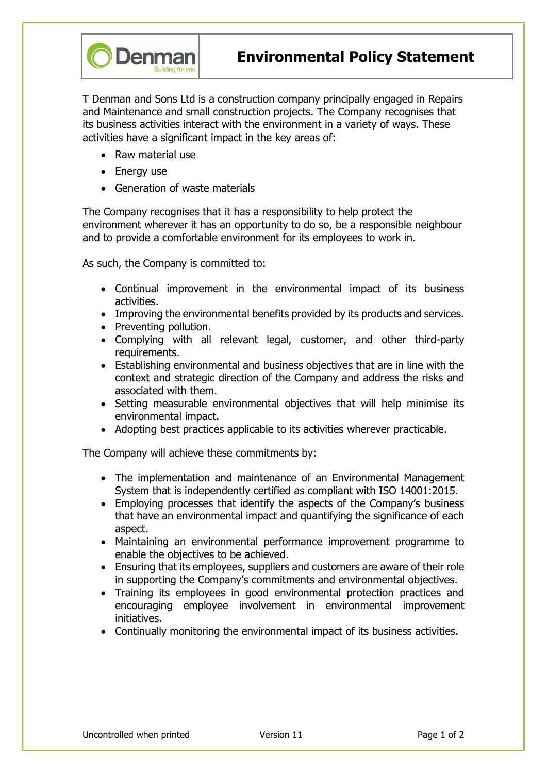

Environmental Policy Statement

T Denman and Sons Ltd is a construction company principally engaged in Repairs and Maintenance and small construction projects. The Company recognises that its business activities interact with the environment in a variety of ways. These activities have a significant impact in the key areas of:

- Raw material use
- Energy use
- Generation of waste materials

The Company recognises that it has a responsibility to help protect the environment wherever it has an opportunity to do so, be a responsible neighbour and to provide a comfortable environment for its employees to work in.

As such, the Company is committed to:

- Continual improvement in the environmental impact of its business activities.
- Improving the environmental benefits provided by its products and services.
- Preventing pollution.
- Complying with all relevant legal, customer, and other third-party requirements.
- Establishing environmental and business objectives that are in line with the context and strategic direction of the Company and address the risks and associated with them.
- Setting measurable environmental objectives that will help minimise its environmental impact.
- Adopting best practices applicable to its activities wherever practicable.

The Company will achieve these commitments by:

- The implementation and maintenance of an Environmental Management System that is independently certified as compliant with ISO 14001:2015.
- Employing processes that identify the aspects of the Company's business that have an environmental impact and quantifying the significance of each aspect.
- Maintaining an environmental performance improvement programme to enable the objectives to be achieved.
- Ensuring that its employees, suppliers and customers are aware of their role in supporting the Company's commitments and environmental objectives.
- Training its employees in good environmental protection practices and encouraging employee involvement in environmental improvement initiatives.
- Continually monitoring the environmental impact of its business activities.